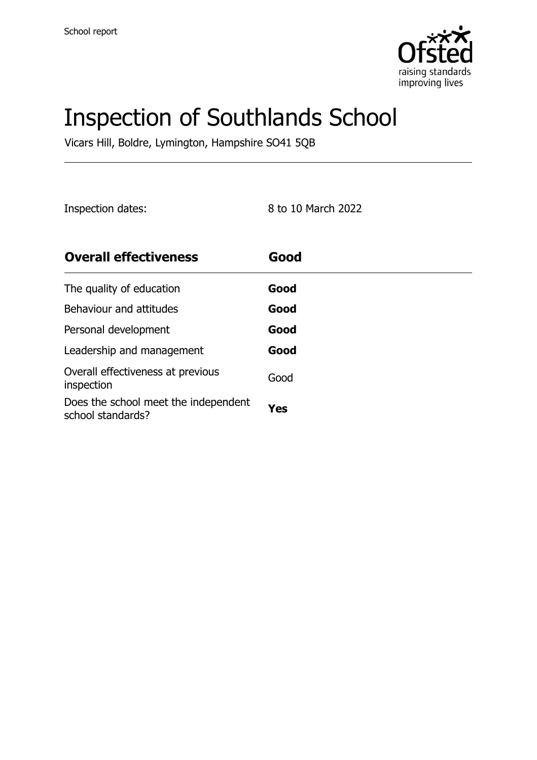

# Inspection of Southlands School

Vicars Hill, Boldre, Lymington, Hampshire SO41 5QB

Inspection dates: 8 to 10 March 2022

| <b>Overall effectiveness</b>                              | Good |
|-----------------------------------------------------------|------|
| The quality of education                                  | Good |
| Behaviour and attitudes                                   | Good |
| Personal development                                      | Good |
| Leadership and management                                 | Good |
| Overall effectiveness at previous<br>inspection           | Good |
| Does the school meet the independent<br>school standards? | Yes  |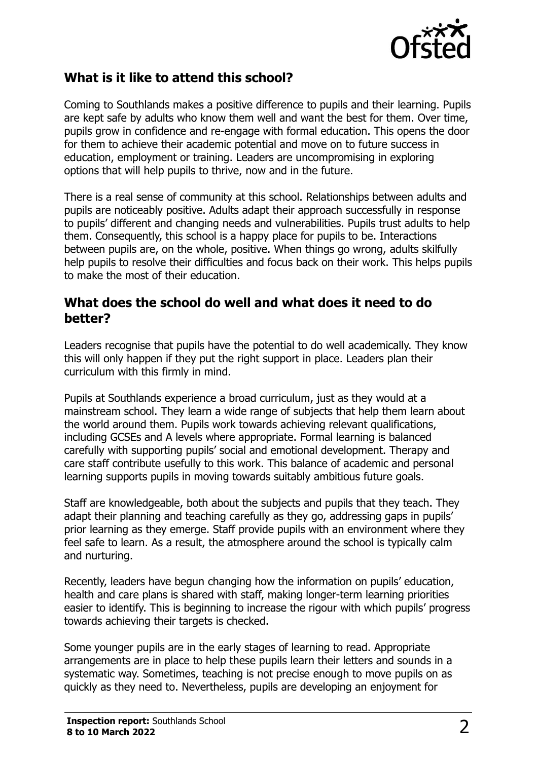

#### **What is it like to attend this school?**

Coming to Southlands makes a positive difference to pupils and their learning. Pupils are kept safe by adults who know them well and want the best for them. Over time, pupils grow in confidence and re-engage with formal education. This opens the door for them to achieve their academic potential and move on to future success in education, employment or training. Leaders are uncompromising in exploring options that will help pupils to thrive, now and in the future.

There is a real sense of community at this school. Relationships between adults and pupils are noticeably positive. Adults adapt their approach successfully in response to pupils' different and changing needs and vulnerabilities. Pupils trust adults to help them. Consequently, this school is a happy place for pupils to be. Interactions between pupils are, on the whole, positive. When things go wrong, adults skilfully help pupils to resolve their difficulties and focus back on their work. This helps pupils to make the most of their education.

#### **What does the school do well and what does it need to do better?**

Leaders recognise that pupils have the potential to do well academically. They know this will only happen if they put the right support in place. Leaders plan their curriculum with this firmly in mind.

Pupils at Southlands experience a broad curriculum, just as they would at a mainstream school. They learn a wide range of subjects that help them learn about the world around them. Pupils work towards achieving relevant qualifications, including GCSEs and A levels where appropriate. Formal learning is balanced carefully with supporting pupils' social and emotional development. Therapy and care staff contribute usefully to this work. This balance of academic and personal learning supports pupils in moving towards suitably ambitious future goals.

Staff are knowledgeable, both about the subjects and pupils that they teach. They adapt their planning and teaching carefully as they go, addressing gaps in pupils' prior learning as they emerge. Staff provide pupils with an environment where they feel safe to learn. As a result, the atmosphere around the school is typically calm and nurturing.

Recently, leaders have begun changing how the information on pupils' education, health and care plans is shared with staff, making longer-term learning priorities easier to identify. This is beginning to increase the rigour with which pupils' progress towards achieving their targets is checked.

Some younger pupils are in the early stages of learning to read. Appropriate arrangements are in place to help these pupils learn their letters and sounds in a systematic way. Sometimes, teaching is not precise enough to move pupils on as quickly as they need to. Nevertheless, pupils are developing an enjoyment for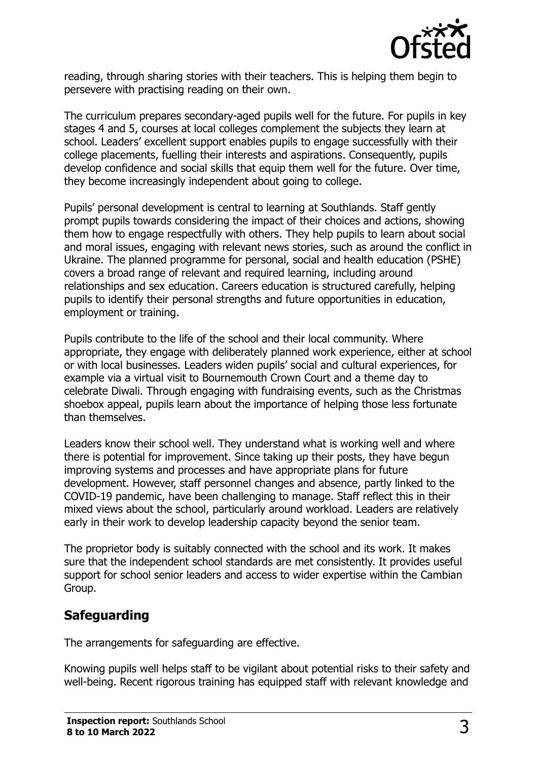

reading, through sharing stories with their teachers. This is helping them begin to persevere with practising reading on their own.

The curriculum prepares secondary-aged pupils well for the future. For pupils in key stages 4 and 5, courses at local colleges complement the subjects they learn at school. Leaders' excellent support enables pupils to engage successfully with their college placements, fuelling their interests and aspirations. Consequently, pupils develop confidence and social skills that equip them well for the future. Over time, they become increasingly independent about going to college.

Pupils' personal development is central to learning at Southlands. Staff gently prompt pupils towards considering the impact of their choices and actions, showing them how to engage respectfully with others. They help pupils to learn about social and moral issues, engaging with relevant news stories, such as around the conflict in Ukraine. The planned programme for personal, social and health education (PSHE) covers a broad range of relevant and required learning, including around relationships and sex education. Careers education is structured carefully, helping pupils to identify their personal strengths and future opportunities in education, employment or training.

Pupils contribute to the life of the school and their local community. Where appropriate, they engage with deliberately planned work experience, either at school or with local businesses. Leaders widen pupils' social and cultural experiences, for example via a virtual visit to Bournemouth Crown Court and a theme day to celebrate Diwali. Through engaging with fundraising events, such as the Christmas shoebox appeal, pupils learn about the importance of helping those less fortunate than themselves.

Leaders know their school well. They understand what is working well and where there is potential for improvement. Since taking up their posts, they have begun improving systems and processes and have appropriate plans for future development. However, staff personnel changes and absence, partly linked to the COVID-19 pandemic, have been challenging to manage. Staff reflect this in their mixed views about the school, particularly around workload. Leaders are relatively early in their work to develop leadership capacity beyond the senior team.

The proprietor body is suitably connected with the school and its work. It makes sure that the independent school standards are met consistently. It provides useful support for school senior leaders and access to wider expertise within the Cambian Group.

# **Safeguarding**

The arrangements for safeguarding are effective.

Knowing pupils well helps staff to be vigilant about potential risks to their safety and well-being. Recent rigorous training has equipped staff with relevant knowledge and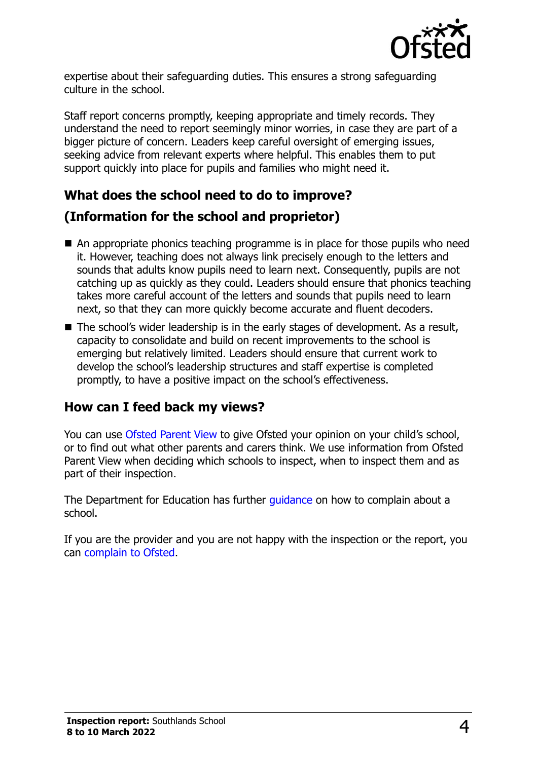

expertise about their safeguarding duties. This ensures a strong safeguarding culture in the school.

Staff report concerns promptly, keeping appropriate and timely records. They understand the need to report seemingly minor worries, in case they are part of a bigger picture of concern. Leaders keep careful oversight of emerging issues, seeking advice from relevant experts where helpful. This enables them to put support quickly into place for pupils and families who might need it.

# **What does the school need to do to improve?**

### **(Information for the school and proprietor)**

- An appropriate phonics teaching programme is in place for those pupils who need it. However, teaching does not always link precisely enough to the letters and sounds that adults know pupils need to learn next. Consequently, pupils are not catching up as quickly as they could. Leaders should ensure that phonics teaching takes more careful account of the letters and sounds that pupils need to learn next, so that they can more quickly become accurate and fluent decoders.
- The school's wider leadership is in the early stages of development. As a result, capacity to consolidate and build on recent improvements to the school is emerging but relatively limited. Leaders should ensure that current work to develop the school's leadership structures and staff expertise is completed promptly, to have a positive impact on the school's effectiveness.

# **How can I feed back my views?**

You can use [Ofsted Parent View](http://parentview.ofsted.gov.uk/) to give Ofsted your opinion on your child's school, or to find out what other parents and carers think. We use information from Ofsted Parent View when deciding which schools to inspect, when to inspect them and as part of their inspection.

The Department for Education has further quidance on how to complain about a school.

If you are the provider and you are not happy with the inspection or the report, you can [complain to Ofsted.](http://www.gov.uk/complain-ofsted-report)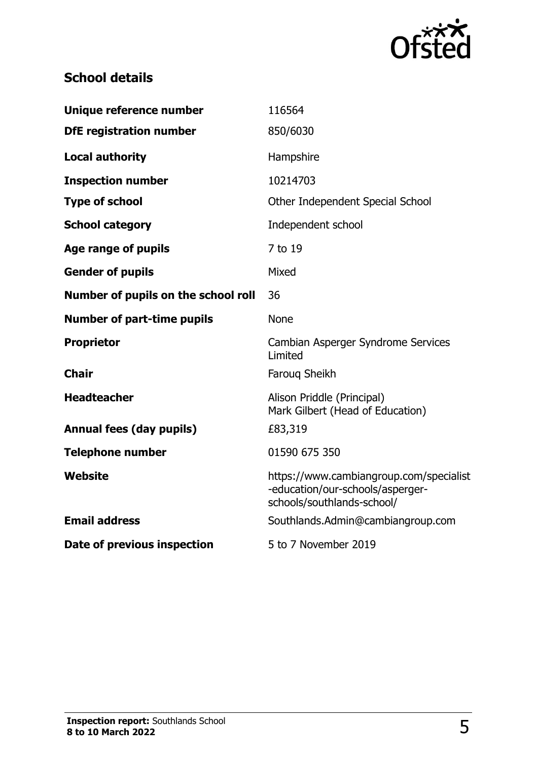

# **School details**

| Unique reference number             | 116564                                                                                                    |
|-------------------------------------|-----------------------------------------------------------------------------------------------------------|
| <b>DfE registration number</b>      | 850/6030                                                                                                  |
| <b>Local authority</b>              | Hampshire                                                                                                 |
| <b>Inspection number</b>            | 10214703                                                                                                  |
| <b>Type of school</b>               | Other Independent Special School                                                                          |
| <b>School category</b>              | Independent school                                                                                        |
| Age range of pupils                 | 7 to 19                                                                                                   |
| <b>Gender of pupils</b>             | Mixed                                                                                                     |
| Number of pupils on the school roll | 36                                                                                                        |
| <b>Number of part-time pupils</b>   | <b>None</b>                                                                                               |
| <b>Proprietor</b>                   | Cambian Asperger Syndrome Services<br>Limited                                                             |
| <b>Chair</b>                        | Faroug Sheikh                                                                                             |
| <b>Headteacher</b>                  | Alison Priddle (Principal)<br>Mark Gilbert (Head of Education)                                            |
| <b>Annual fees (day pupils)</b>     | £83,319                                                                                                   |
| <b>Telephone number</b>             | 01590 675 350                                                                                             |
| <b>Website</b>                      | https://www.cambiangroup.com/specialist<br>-education/our-schools/asperger-<br>schools/southlands-school/ |
| <b>Email address</b>                | Southlands.Admin@cambiangroup.com                                                                         |
| Date of previous inspection         | 5 to 7 November 2019                                                                                      |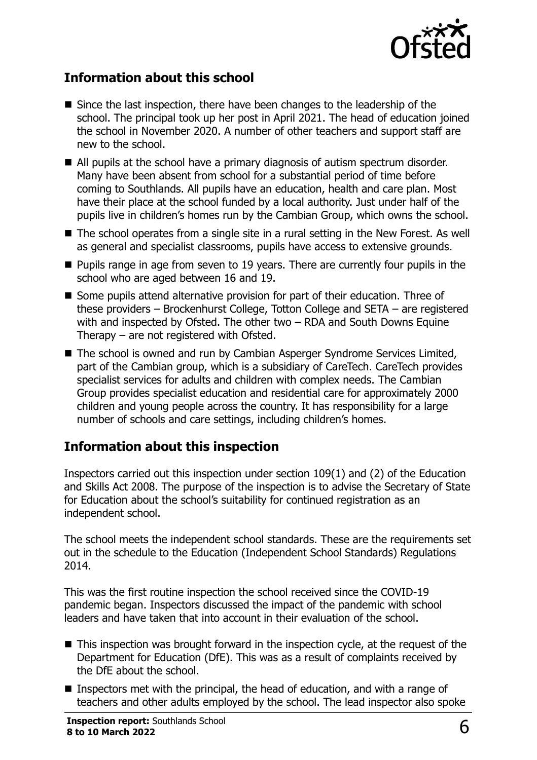

#### **Information about this school**

- Since the last inspection, there have been changes to the leadership of the school. The principal took up her post in April 2021. The head of education joined the school in November 2020. A number of other teachers and support staff are new to the school.
- All pupils at the school have a primary diagnosis of autism spectrum disorder. Many have been absent from school for a substantial period of time before coming to Southlands. All pupils have an education, health and care plan. Most have their place at the school funded by a local authority. Just under half of the pupils live in children's homes run by the Cambian Group, which owns the school.
- The school operates from a single site in a rural setting in the New Forest. As well as general and specialist classrooms, pupils have access to extensive grounds.
- Pupils range in age from seven to 19 years. There are currently four pupils in the school who are aged between 16 and 19.
- Some pupils attend alternative provision for part of their education. Three of these providers – Brockenhurst College, Totton College and SETA – are registered with and inspected by Ofsted. The other two – RDA and South Downs Equine Therapy – are not registered with Ofsted.
- The school is owned and run by Cambian Asperger Syndrome Services Limited, part of the Cambian group, which is a subsidiary of CareTech. CareTech provides specialist services for adults and children with complex needs. The Cambian Group provides specialist education and residential care for approximately 2000 children and young people across the country. It has responsibility for a large number of schools and care settings, including children's homes.

#### **Information about this inspection**

Inspectors carried out this inspection under section 109(1) and (2) of the Education and Skills Act 2008. The purpose of the inspection is to advise the Secretary of State for Education about the school's suitability for continued registration as an independent school.

The school meets the independent school standards. These are the requirements set out in the schedule to the Education (Independent School Standards) Regulations 2014.

This was the first routine inspection the school received since the COVID-19 pandemic began. Inspectors discussed the impact of the pandemic with school leaders and have taken that into account in their evaluation of the school.

- This inspection was brought forward in the inspection cycle, at the request of the Department for Education (DfE). This was as a result of complaints received by the DfE about the school.
- Inspectors met with the principal, the head of education, and with a range of teachers and other adults employed by the school. The lead inspector also spoke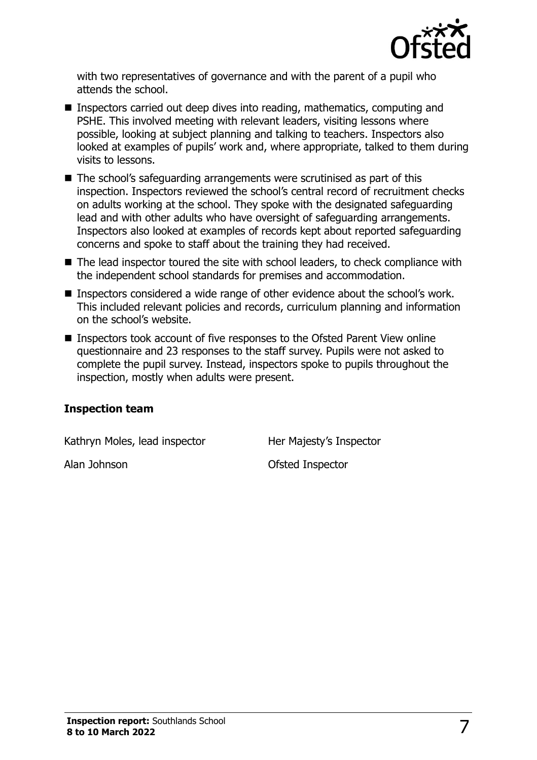

with two representatives of governance and with the parent of a pupil who attends the school.

- Inspectors carried out deep dives into reading, mathematics, computing and PSHE. This involved meeting with relevant leaders, visiting lessons where possible, looking at subject planning and talking to teachers. Inspectors also looked at examples of pupils' work and, where appropriate, talked to them during visits to lessons.
- The school's safeguarding arrangements were scrutinised as part of this inspection. Inspectors reviewed the school's central record of recruitment checks on adults working at the school. They spoke with the designated safeguarding lead and with other adults who have oversight of safeguarding arrangements. Inspectors also looked at examples of records kept about reported safeguarding concerns and spoke to staff about the training they had received.
- The lead inspector toured the site with school leaders, to check compliance with the independent school standards for premises and accommodation.
- Inspectors considered a wide range of other evidence about the school's work. This included relevant policies and records, curriculum planning and information on the school's website.
- Inspectors took account of five responses to the Ofsted Parent View online questionnaire and 23 responses to the staff survey. Pupils were not asked to complete the pupil survey. Instead, inspectors spoke to pupils throughout the inspection, mostly when adults were present.

#### **Inspection team**

Kathryn Moles, lead inspector **Her Majesty's Inspector** 

Alan Johnson Ofsted Inspector